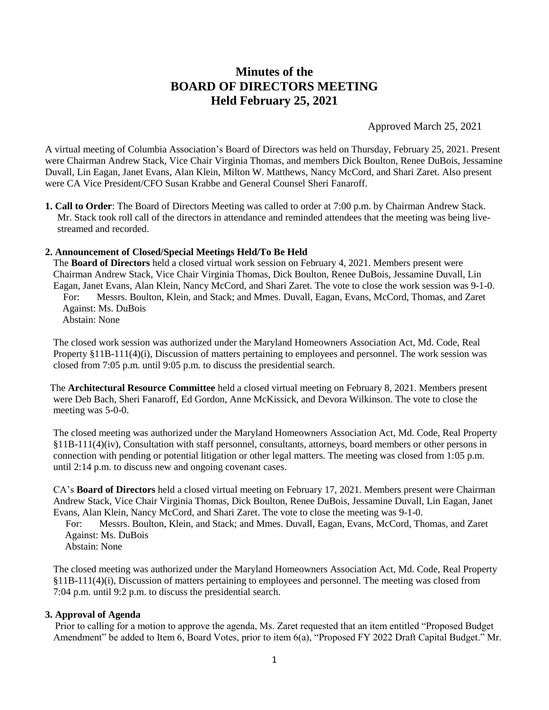# **Minutes of the BOARD OF DIRECTORS MEETING Held February 25, 2021**

Approved March 25, 2021

A virtual meeting of Columbia Association's Board of Directors was held on Thursday, February 25, 2021. Present were Chairman Andrew Stack, Vice Chair Virginia Thomas, and members Dick Boulton, Renee DuBois, Jessamine Duvall, Lin Eagan, Janet Evans, Alan Klein, Milton W. Matthews, Nancy McCord, and Shari Zaret. Also present were CA Vice President/CFO Susan Krabbe and General Counsel Sheri Fanaroff.

**1. Call to Order**: The Board of Directors Meeting was called to order at 7:00 p.m. by Chairman Andrew Stack. Mr. Stack took roll call of the directors in attendance and reminded attendees that the meeting was being livestreamed and recorded.

#### **2. Announcement of Closed/Special Meetings Held/To Be Held**

The **Board of Directors** held a closed virtual work session on February 4, 2021. Members present were Chairman Andrew Stack, Vice Chair Virginia Thomas, Dick Boulton, Renee DuBois, Jessamine Duvall, Lin Eagan, Janet Evans, Alan Klein, Nancy McCord, and Shari Zaret. The vote to close the work session was 9-1-0. For: Messrs. Boulton, Klein, and Stack; and Mmes. Duvall, Eagan, Evans, McCord, Thomas, and Zaret Against: Ms. DuBois Abstain: None

The closed work session was authorized under the Maryland Homeowners Association Act, Md. Code, Real Property §11B-111(4)(i), Discussion of matters pertaining to employees and personnel. The work session was closed from 7:05 p.m. until 9:05 p.m. to discuss the presidential search.

 The **Architectural Resource Committee** held a closed virtual meeting on February 8, 2021. Members present were Deb Bach, Sheri Fanaroff, Ed Gordon, Anne McKissick, and Devora Wilkinson. The vote to close the meeting was 5-0-0.

The closed meeting was authorized under the Maryland Homeowners Association Act, Md. Code, Real Property §11B-111(4)(iv), Consultation with staff personnel, consultants, attorneys, board members or other persons in connection with pending or potential litigation or other legal matters. The meeting was closed from 1:05 p.m. until 2:14 p.m. to discuss new and ongoing covenant cases.

CA's **Board of Directors** held a closed virtual meeting on February 17, 2021. Members present were Chairman Andrew Stack, Vice Chair Virginia Thomas, Dick Boulton, Renee DuBois, Jessamine Duvall, Lin Eagan, Janet Evans, Alan Klein, Nancy McCord, and Shari Zaret. The vote to close the meeting was 9-1-0.

 For: Messrs. Boulton, Klein, and Stack; and Mmes. Duvall, Eagan, Evans, McCord, Thomas, and Zaret Against: Ms. DuBois

Abstain: None

The closed meeting was authorized under the Maryland Homeowners Association Act, Md. Code, Real Property §11B-111(4)(i), Discussion of matters pertaining to employees and personnel. The meeting was closed from 7:04 p.m. until 9:2 p.m. to discuss the presidential search.

#### **3. Approval of Agenda**

 Prior to calling for a motion to approve the agenda, Ms. Zaret requested that an item entitled "Proposed Budget Amendment" be added to Item 6, Board Votes, prior to item 6(a), "Proposed FY 2022 Draft Capital Budget." Mr.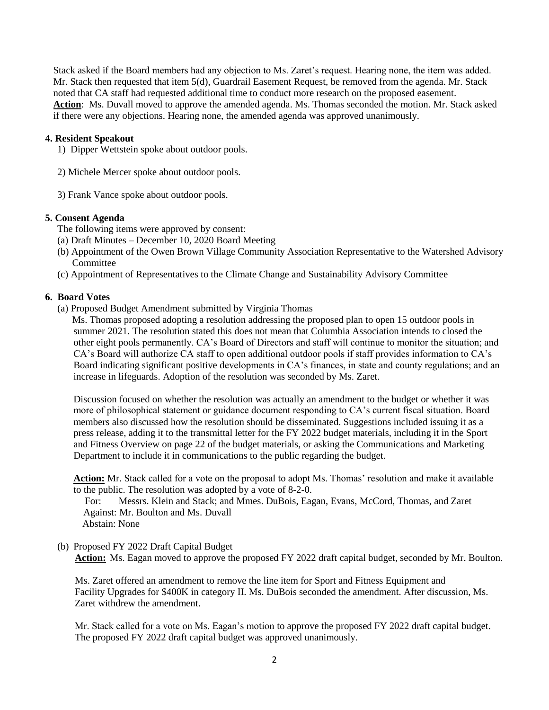Stack asked if the Board members had any objection to Ms. Zaret's request. Hearing none, the item was added. Mr. Stack then requested that item 5(d), Guardrail Easement Request, be removed from the agenda. Mr. Stack noted that CA staff had requested additional time to conduct more research on the proposed easement. **Action**: Ms. Duvall moved to approve the amended agenda. Ms. Thomas seconded the motion. Mr. Stack asked if there were any objections. Hearing none, the amended agenda was approved unanimously.

# **4. Resident Speakout**

- 1) Dipper Wettstein spoke about outdoor pools.
- 2) Michele Mercer spoke about outdoor pools.
- 3) Frank Vance spoke about outdoor pools.

# **5. Consent Agenda**

The following items were approved by consent:

- (a) Draft Minutes December 10, 2020 Board Meeting
- (b) Appointment of the Owen Brown Village Community Association Representative to the Watershed Advisory Committee
- (c) Appointment of Representatives to the Climate Change and Sustainability Advisory Committee

## **6. Board Votes**

(a) Proposed Budget Amendment submitted by Virginia Thomas

 Ms. Thomas proposed adopting a resolution addressing the proposed plan to open 15 outdoor pools in summer 2021. The resolution stated this does not mean that Columbia Association intends to closed the other eight pools permanently. CA's Board of Directors and staff will continue to monitor the situation; and CA's Board will authorize CA staff to open additional outdoor pools if staff provides information to CA's Board indicating significant positive developments in CA's finances, in state and county regulations; and an increase in lifeguards. Adoption of the resolution was seconded by Ms. Zaret.

Discussion focused on whether the resolution was actually an amendment to the budget or whether it was more of philosophical statement or guidance document responding to CA's current fiscal situation. Board members also discussed how the resolution should be disseminated. Suggestions included issuing it as a press release, adding it to the transmittal letter for the FY 2022 budget materials, including it in the Sport and Fitness Overview on page 22 of the budget materials, or asking the Communications and Marketing Department to include it in communications to the public regarding the budget.

**Action:** Mr. Stack called for a vote on the proposal to adopt Ms. Thomas' resolution and make it available to the public. The resolution was adopted by a vote of 8-2-0.

 For: Messrs. Klein and Stack; and Mmes. DuBois, Eagan, Evans, McCord, Thomas, and Zaret Against: Mr. Boulton and Ms. Duvall Abstain: None

(b) Proposed FY 2022 Draft Capital Budget

 **Action:** Ms. Eagan moved to approve the proposed FY 2022 draft capital budget, seconded by Mr. Boulton.

 Ms. Zaret offered an amendment to remove the line item for Sport and Fitness Equipment and Facility Upgrades for \$400K in category II. Ms. DuBois seconded the amendment. After discussion, Ms. Zaret withdrew the amendment.

 Mr. Stack called for a vote on Ms. Eagan's motion to approve the proposed FY 2022 draft capital budget. The proposed FY 2022 draft capital budget was approved unanimously.